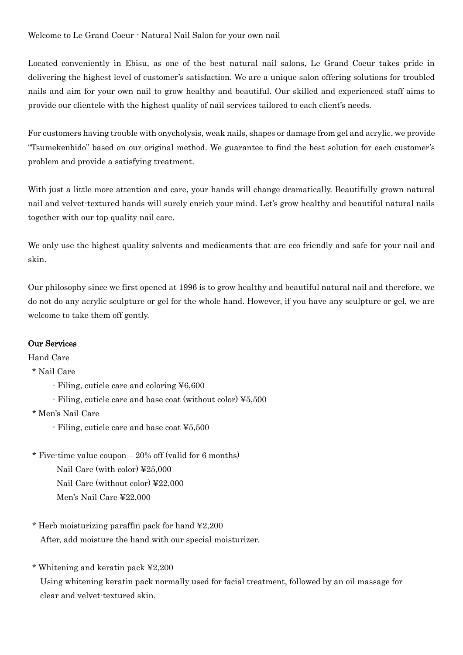## Welcome to Le Grand Coeur - Natural Nail Salon for your own nail

Located conveniently in Ebisu, as one of the best natural nail salons, Le Grand Coeur takes pride in delivering the highest level of customer's satisfaction. We are a unique salon offering solutions for troubled nails and aim for your own nail to grow healthy and beautiful. Our skilled and experienced staff aims to provide our clientele with the highest quality of nail services tailored to each client's needs.

For customers having trouble with onycholysis, weak nails, shapes or damage from gel and acrylic, we provide "Tsumekenbido" based on our original method. We guarantee to find the best solution for each customer's problem and provide a satisfying treatment.

With just a little more attention and care, your hands will change dramatically. Beautifully grown natural nail and velvet-textured hands will surely enrich your mind. Let's grow healthy and beautiful natural nails together with our top quality nail care.

We only use the highest quality solvents and medicaments that are eco friendly and safe for your nail and skin.

Our philosophy since we first opened at 1996 is to grow healthy and beautiful natural nail and therefore, we do not do any acrylic sculpture or gel for the whole hand. However, if you have any sculpture or gel, we are welcome to take them off gently.

#### Our Services

Hand Care

## \* Nail Care

- Filing, cuticle care and coloring ¥6,600
- Filing, cuticle care and base coat (without color) ¥5,500
- \* Men's Nail Care
	- Filing, cuticle care and base coat ¥5,500
- \* Five-time value coupon  $-20\%$  off (valid for 6 months) Nail Care (with color) ¥25,000 Nail Care (without color) ¥22,000
	- Men's Nail Care ¥22,000
- \* Herb moisturizing paraffin pack for hand ¥2,200 After, add moisture the hand with our special moisturizer.
- \* Whitening and keratin pack ¥2,200

Using whitening keratin pack normally used for facial treatment, followed by an oil massage for clear and velvet-textured skin.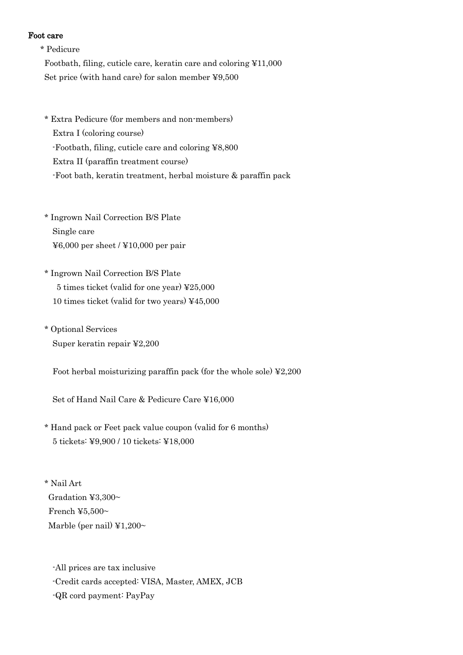#### Foot care

- \* Pedicure Footbath, filing, cuticle care, keratin care and coloring ¥11,000 Set price (with hand care) for salon member ¥9,500
- \* Extra Pedicure (for members and non-members) Extra I (coloring course) -Footbath, filing, cuticle care and coloring ¥8,800 Extra II (paraffin treatment course) -Foot bath, keratin treatment, herbal moisture & paraffin pack
- \* Ingrown Nail Correction B/S Plate Single care ¥6,000 per sheet / ¥10,000 per pair
- \* Ingrown Nail Correction B/S Plate 5 times ticket (valid for one year) ¥25,000 10 times ticket (valid for two years) ¥45,000
- \* Optional Services Super keratin repair ¥2,200
	- Foot herbal moisturizing paraffin pack (for the whole sole)  $\text{\textless}2,200$
	- Set of Hand Nail Care & Pedicure Care ¥16,000
- \* Hand pack or Feet pack value coupon (valid for 6 months) 5 tickets: ¥9,900 / 10 tickets: ¥18,000
- \* Nail Art Gradation ¥3,300~ French ¥5,500 $\sim$ Marble (per nail)  $\yen 1,200~$ 
	- -All prices are tax inclusive
	- -Credit cards accepted: VISA, Master, AMEX, JCB
	- -QR cord payment: PayPay